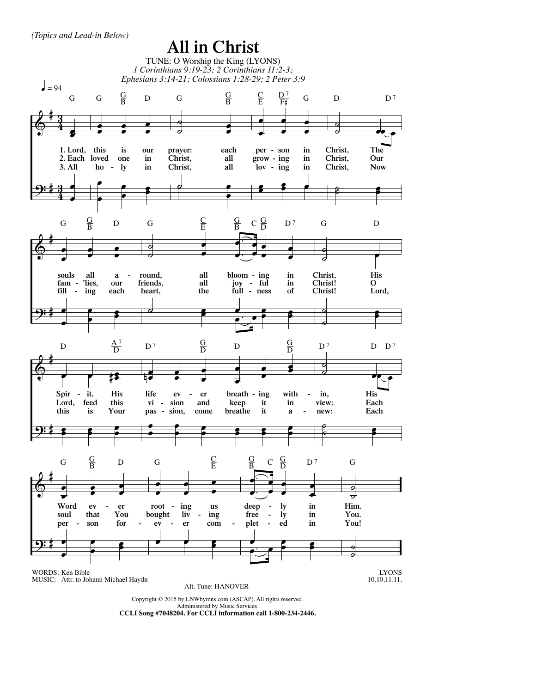*(Topics and Lead-in Below)*

## $\pmb{\phi}$ <u>9:</u> # #  $\frac{3}{4}$ <u>3្</u>  $\frac{3}{4}$ <u>3្</u> œ œ **1. Lord, this 2. Each loved 3. All** œ œ G œ  $\cdot$   $\cdot$  $\cdot$   $\cdot$ œ **ho is one ly our in in** œ  $\frac{1}{\cdot}$  $\cdot$   $\cdot$ œ  $G$   $\frac{G}{B}$  D ˙ <mark>๏ 。</mark> œ **prayer: Christ, Christ, each all all**  $\overrightarrow{e}$ œ G  $\frac{G}{B}$ œ œ œ <sup>œ</sup> <sup>œ</sup> œ **per - son grow - ing lov - ing in in in** œ <u>.</u>  $\frac{1}{2}$  $\subseteq$ E  $\frac{D^7}{F_*^*}$  G  $\overline{\phantom{a}}$  $\frac{a}{c}$   $\frac{a}{c}$ **Christ, Christ, Christ, The Our Now** ˙ ˙ œ œ  $D$   $D^7$  $\pmb{\phi}$ <u>9:</u> # # œ  $\cdot$  :  $\cdot$   $\cdot$ œ **souls fam - 'lies, fill - ing all <sup>a</sup> - our each** œ <sup>œ</sup> <sup>œ</sup>  $\cdot$   $\cdot$ œ G  $\frac{G}{B}$  D  $\overline{\bullet}$ 。<br>。 **。** œ **round, friends, heart, all all the**  $\overline{\phantom{a}}$ œ G  $\frac{C}{E}$ . . œ  $\bigoplus$ œ œ  $\cdot$   $\cdot$ œ **bloom - joy - ing full - ness ful in in of** œ و.<br>مور<u>د</u>  $\cdot$   $\cdot$ œ  $\frac{\mathrm{G}}{\mathrm{B}}$  $C \frac{G}{D}$  $D<sub>7</sub>$  $\overline{\phantom{0}}$  $\circ$ **Christ, Christ! Christ! His O Lord,**  $\overline{\phantom{a}}$ 。<br>。 ●<br>。 œ G D  $\pmb{\phi}$ <u>9:</u> # # e e ‡s **Spir - Lord, this it, feed is His this Your** œ  $\cdot$   $\cdot$  $\cdot$ œ D  $\frac{A^7}{D}$ œ  $\frac{1}{1}$ 。<br>. . œ **life vi pas - sion, ev sion er and come** œ  $\cdot$   $\cdot$  $\frac{1}{2}$ œ  $D<sub>7</sub>$  $\frac{\text{G}}{\text{D}}$ œ 。<br>。 。 .<br>. ∶ œ **breath - ing keep breathe it it with in a**  œ  $\frac{1}{2}$  $\cdot$   $\cdot$ œ D  $\frac{G}{D}$  $\frac{1}{2}$  $\overrightarrow{e}$ **in, view: new: His Each Each** ˙ ˙ œ œ  $D^7$  D  $D^7$  $\pmb{\phi}$ <u>9:</u> # # œ  $\cdot$  :  $:$ œ **Word soul per ev that son er You for**  œ <sup>œ</sup> <sup>œ</sup>  $\cdot$   $\cdot$ œ  $G$   $\frac{G}{B}$  D œ 。<br>。 。 . .<br>. . œ **root bought ev ing liv er us ing com -**  $\overrightarrow{e}$   $\overrightarrow{e}$   $\overrightarrow{e}$ œ G  $\overline{C}$  $\frac{\text{C}}{\text{E}}$ . . œ  $\sum$  $\frac{1}{\cdot}$  .  $\frac{1}{\cdot}$ œ **deep free plet ly ly ed in in in** œ e.<br>● ●  $\frac{1}{\cdot}$ œ  $\frac{G}{R}$  $C \frac{G}{D}$  $D<sub>7</sub>$  $\overline{\phantom{a}}$ ˙ **You. Him. You!**  $\frac{1}{2}$  $\frac{a}{b}$ G LYONS 10.10.11.11. WORDS: Ken Bible MUSIC: Attr. to Johann Michael Haydn **All in Christ** TUNE: O Worship the King (LYONS) *1 Corinthians 9:19-23; 2 Corinthians 11:2-3; Ephesians 3:14-21; Colossians 1:28-29; 2 Peter 3:9* Copyright © 2015 by LNWhymns.com (ASCAP). All rights reserved.  $\frac{1}{2}$  = 94 Alt. Tune: HANOVER

Administered by Music Services. **CCLI Song #7048204. For CCLI information call 1-800-234-2446.**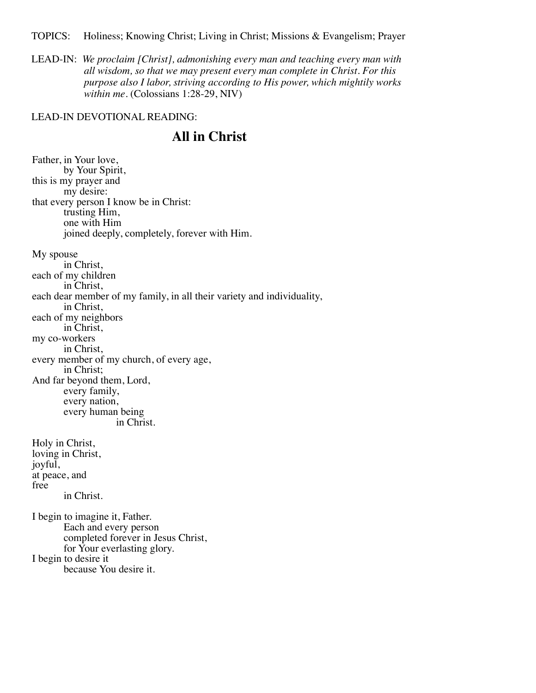TOPICS: Holiness; Knowing Christ; Living in Christ; Missions & Evangelism; Prayer

LEAD-IN: *We proclaim [Christ], admonishing every man and teaching every man with all wisdom, so that we may present every man complete in Christ. For this purpose also I labor, striving according to His power, which mightily works within me*. (Colossians 1:28-29, NIV)

## LEAD-IN DEVOTIONAL READING:

## **All in Christ**

Father, in Your love, by Your Spirit, this is my prayer and my desire: that every person I know be in Christ: trusting Him, one with Him joined deeply, completely, forever with Him. My spouse in Christ, each of my children in Christ, each dear member of my family, in all their variety and individuality, in Christ, each of my neighbors in Christ, my co-workers in Christ, every member of my church, of every age, in Christ; And far beyond them, Lord, every family, every nation, every human being in Christ. Holy in Christ, loving in Christ, joyful, at peace, and free in Christ. I begin to imagine it, Father. Each and every person completed forever in Jesus Christ, for Your everlasting glory. I begin to desire it because You desire it.